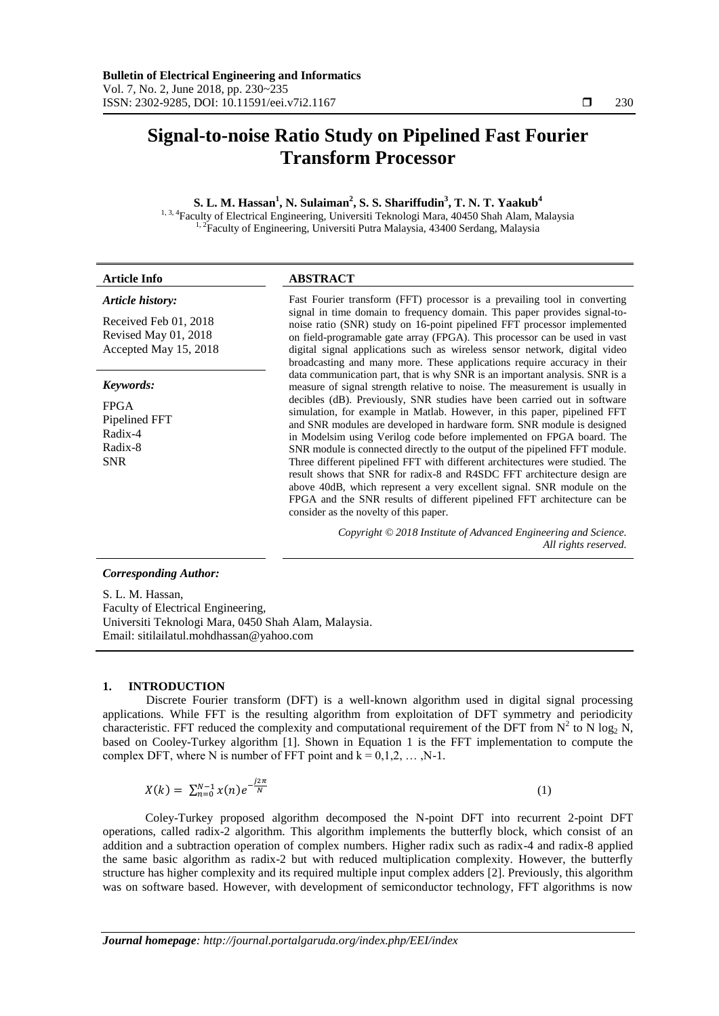# **Signal-to-noise Ratio Study on Pipelined Fast Fourier Transform Processor**

## **S. L. M. Hassan<sup>1</sup> , N. Sulaiman<sup>2</sup> , S. S. Shariffudin<sup>3</sup> , T. N. T. Yaakub<sup>4</sup>** <sup>1, 3, 4</sup>Faculty of Electrical Engineering, Universiti Teknologi Mara, 40450 Shah Alam, Malaysia <sup>1, 2</sup>Faculty of Engineering, Universiti Putra Malaysia, 43400 Serdang, Malaysia

#### **Article Info ABSTRACT**

# *Article history:*

Received Feb 01, 2018 Revised May 01, 2018 Accepted May 15, 2018

#### *Keywords:*

FPGA Pipelined FFT Radix-4 Radix-8 SNR

Fast Fourier transform (FFT) processor is a prevailing tool in converting signal in time domain to frequency domain. This paper provides signal-tonoise ratio (SNR) study on 16-point pipelined FFT processor implemented on field-programable gate array (FPGA). This processor can be used in vast digital signal applications such as wireless sensor network, digital video broadcasting and many more. These applications require accuracy in their data communication part, that is why SNR is an important analysis. SNR is a measure of signal strength relative to noise. The measurement is usually in decibles (dB). Previously, SNR studies have been carried out in software simulation, for example in Matlab. However, in this paper, pipelined FFT and SNR modules are developed in hardware form. SNR module is designed in Modelsim using Verilog code before implemented on FPGA board. The SNR module is connected directly to the output of the pipelined FFT module. Three different pipelined FFT with different architectures were studied. The result shows that SNR for radix-8 and R4SDC FFT architecture design are above 40dB, which represent a very excellent signal. SNR module on the FPGA and the SNR results of different pipelined FFT architecture can be consider as the novelty of this paper.

> *Copyright © 2018 Institute of Advanced Engineering and Science. All rights reserved.*

# *Corresponding Author:*

S. L. M. Hassan, Faculty of Electrical Engineering, Universiti Teknologi Mara, 0450 Shah Alam, Malaysia. Email: sitilailatul.mohdhassan@yahoo.com

### **1. INTRODUCTION**

Discrete Fourier transform (DFT) is a well-known algorithm used in digital signal processing applications. While FFT is the resulting algorithm from exploitation of DFT symmetry and periodicity characteristic. FFT reduced the complexity and computational requirement of the DFT from  $N^2$  to N log<sub>2</sub> N, based on Cooley-Turkey algorithm [1]. Shown in Equation 1 is the FFT implementation to compute the complex DFT, where N is number of FFT point and  $k = 0, 1, 2, \dots, N-1$ .

$$
X(k) = \sum_{n=0}^{N-1} x(n) e^{-\frac{j2\pi}{N}}
$$
 (1)

Coley-Turkey proposed algorithm decomposed the N-point DFT into recurrent 2-point DFT operations, called radix-2 algorithm. This algorithm implements the butterfly block, which consist of an addition and a subtraction operation of complex numbers. Higher radix such as radix-4 and radix-8 applied the same basic algorithm as radix-2 but with reduced multiplication complexity. However, the butterfly structure has higher complexity and its required multiple input complex adders [2]. Previously, this algorithm was on software based. However, with development of semiconductor technology, FFT algorithms is now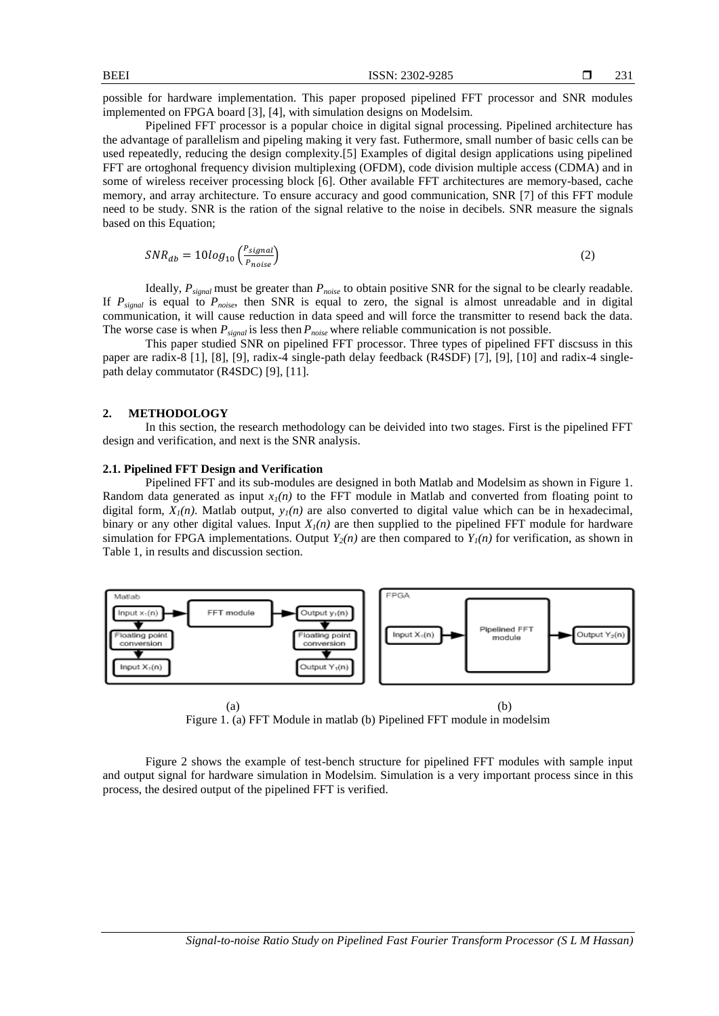possible for hardware implementation. This paper proposed pipelined FFT processor and SNR modules implemented on FPGA board [3], [4], with simulation designs on Modelsim.

Pipelined FFT processor is a popular choice in digital signal processing. Pipelined architecture has the advantage of parallelism and pipeling making it very fast. Futhermore, small number of basic cells can be used repeatedly, reducing the design complexity.[5] Examples of digital design applications using pipelined FFT are ortoghonal frequency division multiplexing (OFDM), code division multiple access (CDMA) and in some of wireless receiver processing block [6]. Other available FFT architectures are memory-based, cache memory, and array architecture. To ensure accuracy and good communication, SNR [7] of this FFT module need to be study. SNR is the ration of the signal relative to the noise in decibels. SNR measure the signals based on this Equation;

$$
SNR_{db} = 10log_{10}\left(\frac{P_{signal}}{P_{noise}}\right) \tag{2}
$$

Ideally,  $P_{signal}$  must be greater than  $P_{noise}$  to obtain positive SNR for the signal to be clearly readable. If  $P_{signal}$  is equal to  $P_{noise}$ , then SNR is equal to zero, the signal is almost unreadable and in digital communication, it will cause reduction in data speed and will force the transmitter to resend back the data. The worse case is when *Psignal* is less then *Pnoise* where reliable communication is not possible.

This paper studied SNR on pipelined FFT processor. Three types of pipelined FFT discsuss in this paper are radix-8 [1], [8], [9], radix-4 single-path delay feedback (R4SDF) [7], [9], [10] and radix-4 singlepath delay commutator (R4SDC) [9], [11].

#### **2. METHODOLOGY**

In this section, the research methodology can be deivided into two stages. First is the pipelined FFT design and verification, and next is the SNR analysis.

# **2.1. Pipelined FFT Design and Verification**

Pipelined FFT and its sub-modules are designed in both Matlab and Modelsim as shown in Figure 1. Random data generated as input  $x_1(n)$  to the FFT module in Matlab and converted from floating point to digital form,  $X<sub>1</sub>(n)$ . Matlab output,  $y<sub>1</sub>(n)$  are also converted to digital value which can be in hexadecimal, binary or any other digital values. Input  $X<sub>I</sub>(n)$  are then supplied to the pipelined FFT module for hardware simulation for FPGA implementations. Output  $Y_2(n)$  are then compared to  $Y_1(n)$  for verification, as shown in Table 1, in results and discussion section.



Figure 1. (a) FFT Module in matlab (b) Pipelined FFT module in modelsim

Figure 2 shows the example of test-bench structure for pipelined FFT modules with sample input and output signal for hardware simulation in Modelsim. Simulation is a very important process since in this process, the desired output of the pipelined FFT is verified.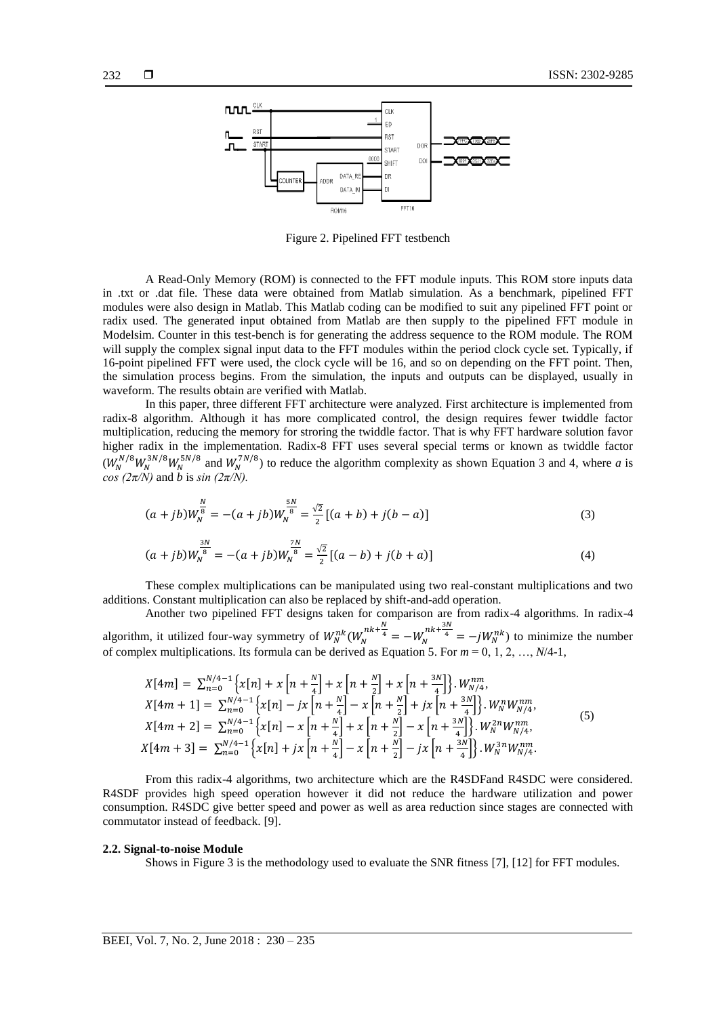

Figure 2. Pipelined FFT testbench

A Read-Only Memory (ROM) is connected to the FFT module inputs. This ROM store inputs data in .txt or .dat file. These data were obtained from Matlab simulation. As a benchmark, pipelined FFT modules were also design in Matlab. This Matlab coding can be modified to suit any pipelined FFT point or radix used. The generated input obtained from Matlab are then supply to the pipelined FFT module in Modelsim. Counter in this test-bench is for generating the address sequence to the ROM module. The ROM will supply the complex signal input data to the FFT modules within the period clock cycle set. Typically, if 16-point pipelined FFT were used, the clock cycle will be 16, and so on depending on the FFT point. Then, the simulation process begins. From the simulation, the inputs and outputs can be displayed, usually in waveform. The results obtain are verified with Matlab.

In this paper, three different FFT architecture were analyzed. First architecture is implemented from radix-8 algorithm. Although it has more complicated control, the design requires fewer twiddle factor multiplication, reducing the memory for stroring the twiddle factor. That is why FFT hardware solution favor higher radix in the implementation. Radix-8 FFT uses several special terms or known as twiddle factor  $(W_N^{N/8} W_N^{3N/8} W_N^{5N/8}$  and  $W_N^{7N/8}$ ) to reduce the algorithm complexity as shown Equation 3 and 4, where *a* is *cos (* $2\pi/N$ *)* and *b* is *sin (* $2\pi/N$ *)*.

$$
(a+jb)W_N^{\frac{N}{8}} = -(a+jb)W_N^{\frac{5N}{8}} = \frac{\sqrt{2}}{2}[(a+b)+j(b-a)]
$$
\n(3)

$$
(a+jb)W_N^{\frac{3N}{8}} = -(a+jb)W_N^{\frac{7N}{8}} = \frac{\sqrt{2}}{2}[(a-b)+j(b+a)]\tag{4}
$$

These complex multiplications can be manipulated using two real-constant multiplications and two additions. Constant multiplication can also be replaced by shift-and-add operation.

Another two pipelined FFT designs taken for comparison are from radix-4 algorithms. In radix-4 algorithm, it utilized four-way symmetry of  $W_N^{nk}(W_N^{nk+\frac{N}{4}} = -W_N^{nk+\frac{3N}{4}} = -jW_N^{nk})$  to minimize the number of complex multiplications. Its formula can be derived as Equation 5. For  $m = 0, 1, 2, ..., N/4-1$ ,

$$
X[4m] = \sum_{n=0}^{N/4-1} \left\{ x[n] + x \left[ n + \frac{N}{4} \right] + x \left[ n + \frac{N}{2} \right] + x \left[ n + \frac{3N}{4} \right] \right\} \cdot W_{N/4}^{nm},
$$
  
\n
$$
X[4m+1] = \sum_{n=0}^{N/4-1} \left\{ x[n] - jx \left[ n + \frac{N}{4} \right] - x \left[ n + \frac{N}{2} \right] + jx \left[ n + \frac{3N}{4} \right] \right\} \cdot W_{N}^{n} W_{N/4}^{nm},
$$
  
\n
$$
X[4m+2] = \sum_{n=0}^{N/4-1} \left\{ x[n] - x \left[ n + \frac{N}{4} \right] + x \left[ n + \frac{N}{2} \right] - x \left[ n + \frac{3N}{4} \right] \right\} \cdot W_{N}^{2n} W_{N/4}^{nm},
$$
  
\n
$$
X[4m+3] = \sum_{n=0}^{N/4-1} \left\{ x[n] + jx \left[ n + \frac{N}{4} \right] - x \left[ n + \frac{N}{2} \right] - jx \left[ n + \frac{3N}{4} \right] \right\} \cdot W_{N}^{3n} W_{N/4}^{nm}.
$$
  
\n(5)

From this radix-4 algorithms, two architecture which are the R4SDFand R4SDC were considered. R4SDF provides high speed operation however it did not reduce the hardware utilization and power consumption. R4SDC give better speed and power as well as area reduction since stages are connected with commutator instead of feedback. [9].

#### **2.2. Signal-to-noise Module**

Shows in Figure 3 is the methodology used to evaluate the SNR fitness [7], [12] for FFT modules.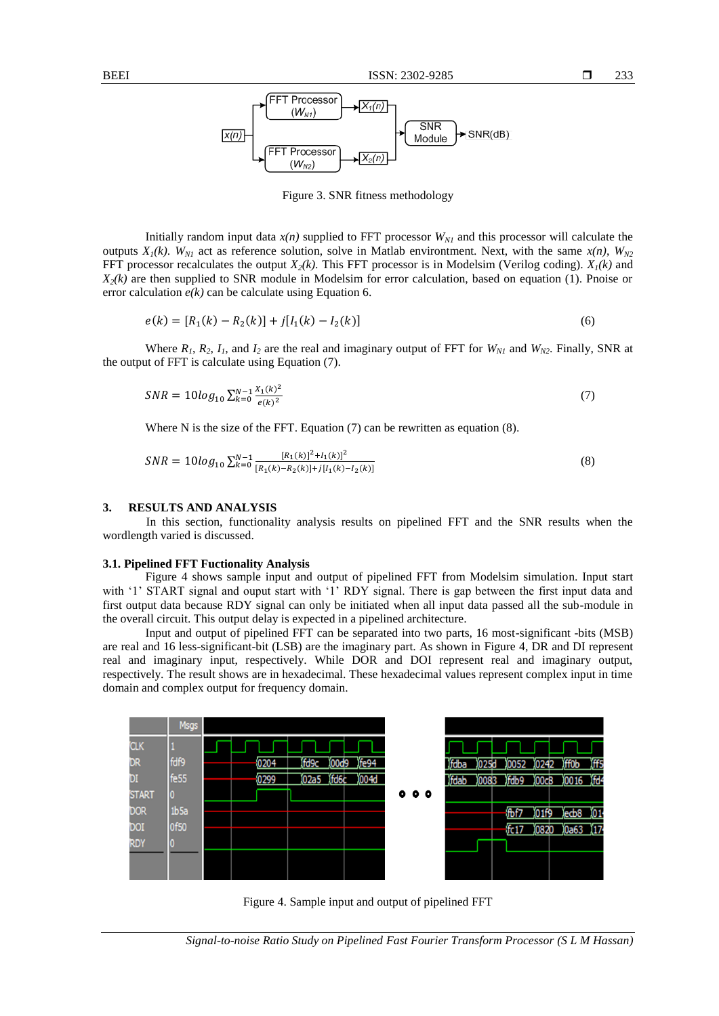

Figure 3. SNR fitness methodology

Initially random input data  $x(n)$  supplied to FFT processor  $W_{N1}$  and this processor will calculate the outputs  $X_1(k)$ .  $W_{N1}$  act as reference solution, solve in Matlab environtment. Next, with the same  $x(n)$ ,  $W_{N2}$ FFT processor recalculates the output *X2(k)*. This FFT processor is in Modelsim (Verilog coding). *X1(k)* and  $X_2(k)$  are then supplied to SNR module in Modelsim for error calculation, based on equation (1). Pnoise or error calculation *e(k)* can be calculate using Equation 6.

$$
e(k) = [R_1(k) - R_2(k)] + j[I_1(k) - I_2(k)]
$$
\n(6)

Where  $R_1$ ,  $R_2$ ,  $I_1$ , and  $I_2$  are the real and imaginary output of FFT for  $W_{N1}$  and  $W_{N2}$ . Finally, SNR at the output of FFT is calculate using Equation (7).

$$
SNR = 10\log_{10} \sum_{k=0}^{N-1} \frac{x_1(k)^2}{e(k)^2}
$$
\n<sup>(7)</sup>

Where N is the size of the FFT. Equation (7) can be rewritten as equation (8).

$$
SNR = 10\log_{10} \sum_{k=0}^{N-1} \frac{[R_1(k)]^2 + I_1(k)]^2}{[R_1(k) - R_2(k)] + j[I_1(k) - I_2(k)]}
$$
\n(8)

#### **3. RESULTS AND ANALYSIS**

In this section, functionality analysis results on pipelined FFT and the SNR results when the wordlength varied is discussed.

#### **3.1. Pipelined FFT Fuctionality Analysis**

Figure 4 shows sample input and output of pipelined FFT from Modelsim simulation. Input start with '1' START signal and ouput start with '1' RDY signal. There is gap between the first input data and first output data because RDY signal can only be initiated when all input data passed all the sub-module in the overall circuit. This output delay is expected in a pipelined architecture.

Input and output of pipelined FFT can be separated into two parts, 16 most-significant -bits (MSB) are real and 16 less-significant-bit (LSB) are the imaginary part. As shown in Figure 4, DR and DI represent real and imaginary input, respectively. While DOR and DOI represent real and imaginary output, respectively. The result shows are in hexadecimal. These hexadecimal values represent complex input in time domain and complex output for frequency domain.



Figure 4. Sample input and output of pipelined FFT

*Signal-to-noise Ratio Study on Pipelined Fast Fourier Transform Processor (S L M Hassan)*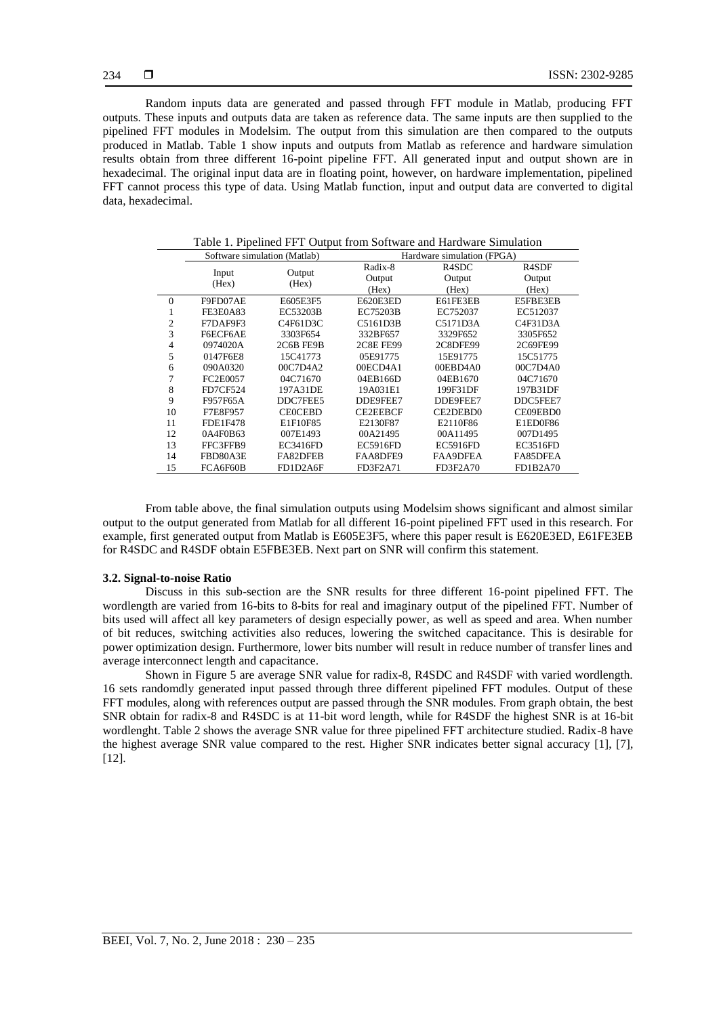Random inputs data are generated and passed through FFT module in Matlab, producing FFT outputs. These inputs and outputs data are taken as reference data. The same inputs are then supplied to the pipelined FFT modules in Modelsim. The output from this simulation are then compared to the outputs produced in Matlab. Table 1 show inputs and outputs from Matlab as reference and hardware simulation results obtain from three different 16-point pipeline FFT. All generated input and output shown are in hexadecimal. The original input data are in floating point, however, on hardware implementation, pipelined FFT cannot process this type of data. Using Matlab function, input and output data are converted to digital data, hexadecimal.

|                | Software simulation (Matlab) |                 | Hardware simulation (FPGA) |                    |                    |
|----------------|------------------------------|-----------------|----------------------------|--------------------|--------------------|
|                |                              |                 | Radix-8                    | R <sub>4</sub> SDC | R <sub>4</sub> SDF |
|                | Input<br>(Hex)               | Output<br>(Hex) | Output                     | Output             | Output             |
|                |                              |                 | (Hex)                      | (Hex)              | (Hex)              |
| $\overline{0}$ | F9FD07AE                     | E605E3F5        | E620E3ED                   | E61FE3EB           | E5FBE3EB           |
| л.             | FE3E0A83                     | EC53203B        | EC75203B                   | EC752037           | EC512037           |
| 2              | F7DAF9F3                     | C4F61D3C        | C5161D3B                   | C5171D3A           | C4F31D3A           |
| 3              | F6ECF6AE                     | 3303F654        | 332BF657                   | 3329F652           | 3305F652           |
| 4              | 0974020A                     | 2C6B FE9B       | <b>2C8E FE99</b>           | 2C8DFE99           | 2C69FE99           |
| 5              | 0147F6E8                     | 15C41773        | 05E91775                   | 15E91775           | 15C51775           |
| 6              | 090A0320                     | 00C7D4A2        | 00ECD4A1                   | 00EBD4A0           | 00C7D4A0           |
| 7              | FC2E0057                     | 04C71670        | 04EB166D                   | 04EB1670           | 04C71670           |
| 8              | <b>FD7CF524</b>              | 197A31DE        | 19A031E1                   | 199F31DF           | 197B31DF           |
| 9              | F957F65A                     | DDC7FEE5        | DDE9FEE7                   | DDE9FEE7           | DDC5FEE7           |
| 10             | F7E8F957                     | <b>CEOCEBD</b>  | CE2EEBCF                   | CE2DEBD0           | CE09EBD0           |
| 11             | <b>FDE1F478</b>              | E1F10F85        | E2130F87                   | E2110F86           | E1ED0F86           |
| 12             | 0A4F0B63                     | 007E1493        | 00A21495                   | 00A11495           | 007D1495           |
| 13             | FFC3FFB9                     | <b>EC3416FD</b> | <b>EC5916FD</b>            | <b>EC5916FD</b>    | <b>EC3516FD</b>    |
| 14             | FBD80A3E                     | FA82DFEB        | FAA8DFE9                   | <b>FAA9DFEA</b>    | FA85DFEA           |
| 15             | FCA6F60B                     | FD1D2A6F        | FD3F2A71                   | FD3F2A70           | FD1B2A70           |

Table 1. Pipelined FFT Output from Software and Hardware Simulation

From table above, the final simulation outputs using Modelsim shows significant and almost similar output to the output generated from Matlab for all different 16-point pipelined FFT used in this research. For example, first generated output from Matlab is E605E3F5, where this paper result is E620E3ED, E61FE3EB for R4SDC and R4SDF obtain E5FBE3EB. Next part on SNR will confirm this statement.

#### **3.2. Signal-to-noise Ratio**

Discuss in this sub-section are the SNR results for three different 16-point pipelined FFT. The wordlength are varied from 16-bits to 8-bits for real and imaginary output of the pipelined FFT. Number of bits used will affect all key parameters of design especially power, as well as speed and area. When number of bit reduces, switching activities also reduces, lowering the switched capacitance. This is desirable for power optimization design. Furthermore, lower bits number will result in reduce number of transfer lines and average interconnect length and capacitance.

Shown in Figure 5 are average SNR value for radix-8, R4SDC and R4SDF with varied wordlength. 16 sets randomdly generated input passed through three different pipelined FFT modules. Output of these FFT modules, along with references output are passed through the SNR modules. From graph obtain, the best SNR obtain for radix-8 and R4SDC is at 11-bit word length, while for R4SDF the highest SNR is at 16-bit wordlenght. Table 2 shows the average SNR value for three pipelined FFT architecture studied. Radix-8 have the highest average SNR value compared to the rest. Higher SNR indicates better signal accuracy [1], [7], [12].